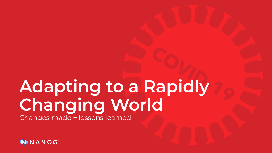### **Adapting to a Rapidly Changing World** Changes made + lessons learned

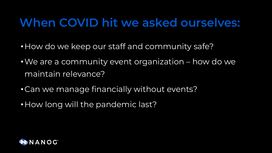#### **When COVID hit we asked ourselves:**

- How do we keep our staff and community safe?
- •We are a community event organization how do we maintain relevance?
- •Can we manage financially without events?
- How long will the pandemic last?

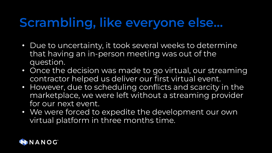#### **Scrambling, like everyone else…**

- Due to uncertainty, it took several weeks to determine that having an in-person meeting was out of the question.
- Once the decision was made to go virtual, our streaming contractor helped us deliver our first virtual event.
- However, due to scheduling conflicts and scarcity in the marketplace, we were left without a streaming provider for our next event.
- We were forced to expedite the development our own virtual platform in three months time.

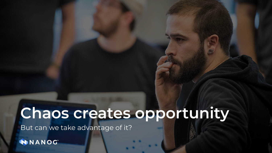## **Chaos creates opportunity**

But can we take advantage of it?

**NANOC**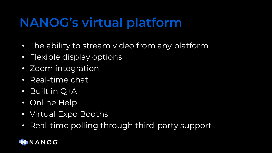### **NANOG's virtual platform**

- The ability to stream video from any platform
- Flexible display options
- Zoom integration
- Real-time chat
- Built in Q+A
- Online Help
- Virtual Expo Booths
- Real-time polling through third-party support

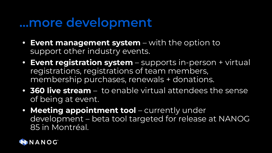#### **…more development**

- **• Event management system** with the option to support other industry events.
- **• Event registration system** supports in-person + virtual registrations, registrations of team members, membership purchases, renewals + donations.
- **• 360 live stream** to enable virtual attendees the sense of being at event.
- **• Meeting appointment tool** currently under development – beta tool targeted for release at NANOG 85 in Montréal.

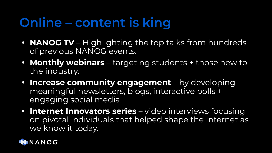## **Online – content is king**

- **• NANOG TV** Highlighting the top talks from hundreds of previous NANOG events.
- **• Monthly webinars** targeting students + those new to the industry.
- **• Increase community engagement** by developing meaningful newsletters, blogs, interactive polls + engaging social media.
- **• Internet Innovators series** video interviews focusing on pivotal individuals that helped shape the Internet as we know it today.

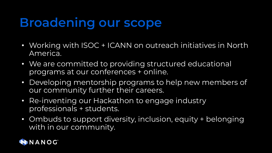### **Broadening our scope**

- Working with ISOC + ICANN on outreach initiatives in North America.
- We are committed to providing structured educational programs at our conferences + online.
- Developing mentorship programs to help new members of our community further their careers.
- Re-inventing our Hackathon to engage industry professionals + students.
- Ombuds to support diversity, inclusion, equity + belonging with in our community.

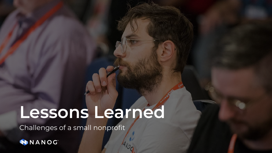# **Lessons Learned**

Challenges of a small nonprofit

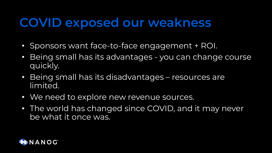#### **COVID exposed our weakness**

- Sponsors want face-to-face engagement + ROI.
- Being small has its advantages you can change course quickly.
- Being small has its disadvantages resources are limited.
- We need to explore new revenue sources.
- The world has changed since COVID, and it may never be what it once was.

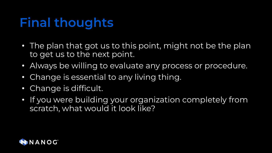### **Final thoughts**

- The plan that got us to this point, might not be the plan to get us to the next point.
- Always be willing to evaluate any process or procedure.
- Change is essential to any living thing.
- Change is difficult.
- If you were building your organization completely from scratch, what would it look like?